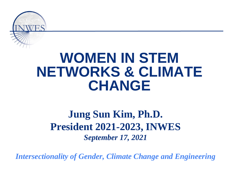

## **WOMEN IN STEM NETWORKS & CLIMATE CHANGE**

#### **Jung Sun Kim, Ph.D. President 2021-2023, INWES** *September 17, 2021*

*Intersectionality of Gender, Climate Change and Engineering*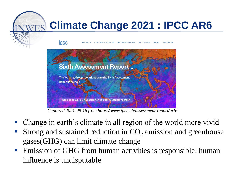

*Captured 2021-09-16 from https://www.ipcc.ch/assessment-report/ar6/*

- Change in earth's climate in all region of the world more vivid
- Strong and sustained reduction in  $CO_2$  emission and greenhouse gases(GHG) can limit climate change
- Emission of GHG from human activities is responsible: human influence is undisputable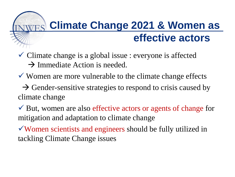### **Climate Change 2021 & Women as effective actors**

- $\checkmark$  Climate change is a global issue : everyone is affected  $\rightarrow$  Immediate Action is needed.
- $\checkmark$  Women are more vulnerable to the climate change effects
- $\rightarrow$  Gender-sensitive strategies to respond to crisis caused by climate change
- $\checkmark$  But, women are also effective actors or agents of change for mitigation and adaptation to climate change
- Women scientists and engineers should be fully utilized in tackling Climate Change issues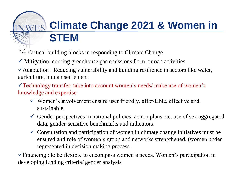### **Climate Change 2021 & Women in STEM**

\*4 Critical building blocks in responding to Climate Change

 $\checkmark$  Mitigation: curbing greenhouse gas emissions from human activities

 $\checkmark$  Adaptation : Reducing vulnerability and building resilience in sectors like water, agriculture, human settlement

 $\checkmark$  Technology transfer: take into account women's needs/ make use of women's knowledge and expertise

- $\checkmark$  Women's involvement ensure user friendly, affordable, effective and sustainable.
- Gender perspectives in national policies, action plans etc. use of sex aggregated data, gender-sensitive benchmarks and indicators.
- $\checkmark$  Consultation and participation of women in climate change initiatives must be ensured and role of women's group and networks strengthened. (women under represented in decision making process.

 $\checkmark$  Financing : to be flexible to encompass women's needs. Women's participation in developing funding criteria/ gender analysis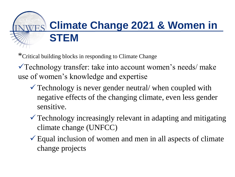## **Climate Change 2021 & Women in STEM**

\*Critical building blocks in responding to Climate Change

Technology transfer: take into account women's needs/ make use of women's knowledge and expertise

- $\checkmark$  Technology is never gender neutral/ when coupled with negative effects of the changing climate, even less gender sensitive.
- Technology increasingly relevant in adapting and mitigating climate change (UNFCC)
- $\checkmark$  Equal inclusion of women and men in all aspects of climate change projects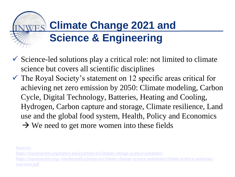### **Climate Change 2021 and Science & Engineering**

- $\checkmark$  Science-led solutions play a critical role: not limited to climate science but covers all scientific disciplines
- $\checkmark$  The Royal Society's statement on 12 specific areas critical for achieving net zero emission by 2050: Climate modeling, Carbon Cycle, Digital Technology, Batteries, Heating and Cooling, Hydrogen, Carbon capture and storage, Climate resilience, Land use and the global food system, Health, Policy and Economics  $\rightarrow$  We need to get more women into these fields

*[Sources:](https://royalsociety.org/topics-policy/projects/climate-change-science-solutions/)* 

*<https://royalsociety.org/topics-policy/projects/climate-change-science-solutions/> [https://royalsociety.org/-/media/policy/projects/climate-change-science-solutions/climate-science-solutions](https://royalsociety.org/-/media/policy/projects/climate-change-science-solutions/climate-science-solutions-overview.pdf)overview.pdf*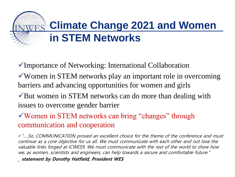# **Climate Change 2021 and Women in STEM Networks**

Importance of Networking: International Collaboration

Women in STEM networks play an important role in overcoming barriers and advancing opportunities for women and girls

 $\sqrt{\frac{B}}$ ut women in STEM networks can do more than dealing with issues to overcome gender barrier

Women in STEM networks can bring "changes" through communication and cooperation

"….So, COMMUNICATION proved an excellent choice for the theme of the conference and must continue as a core objective for us all. We must communicate with each other and not lose the valuable links forged at ICWES9. We must communicate with the rest of the world to show how we, as women, scientists and engineers, can help towards a secure and comfortable future."

\_ statement by Dorothy Hatfield, President WES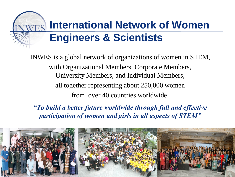### **International Network of Women Engineers & Scientists**

INWES is a global network of organizations of women in STEM, with Organizational Members, Corporate Members, University Members, and Individual Members, all together representing about 250,000 women from over 40 countries worldwide.

*"To build a better future worldwide through full and effective participation of women and girls in all aspects of STEM"*

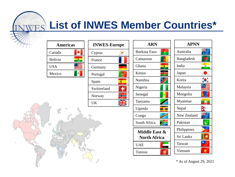### **List of INWES Member Countries\***

| <b>Americas</b> |  |
|-----------------|--|
| Canada          |  |
| <b>Bolivia</b>  |  |
| <b>USA</b>      |  |
| Mexico          |  |
|                 |  |

| <b>INWES-Europe</b> |  |
|---------------------|--|
| Cyprus              |  |
| France              |  |
| Germany             |  |
| Portugal            |  |
| Spain               |  |
| Switzerland         |  |
| Norway              |  |
| UK                  |  |

**ADN** 



\* As of August 29, 2021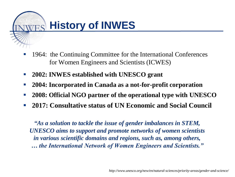

- 1964: the Continuing Committee for the International Conferences for Women Engineers and Scientists (ICWES)
- **2002: INWES established with UNESCO grant**
- **2004: Incorporated in Canada as a not-for-profit corporation**
- **2008: Official NGO partner of the operational type with UNESCO**
- **2017: Consultative status of UN Economic and Social Council**

*"As a solution to tackle the issue of gender imbalances in STEM, UNESCO aims to support and promote networks of women scientists in various scientific domains and regions, such as, among others, … the International Network of Women Engineers and Scientists."*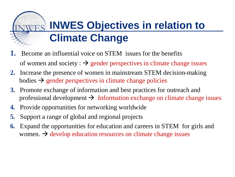### **INWES Objectives in relation to Climate Change**

- **1.** Become an influential voice on STEM issues for the benefits of women and society :  $\rightarrow$  gender perspectives in climate change issues
- **2.** Increase the presence of women in mainstream STEM decision-making bodies  $\rightarrow$  gender perspectives in climate change policies
- **3.** Promote exchange of information and best practices for outreach and professional development  $\rightarrow$  Information exchange on climate change issues
- **4.** Provide opportunities for networking worldwide
- **5.** Support a range of global and regional projects
- **6.** Expand the opportunities for education and careers in STEM for girls and women.  $\rightarrow$  develop education resources on climate change issues